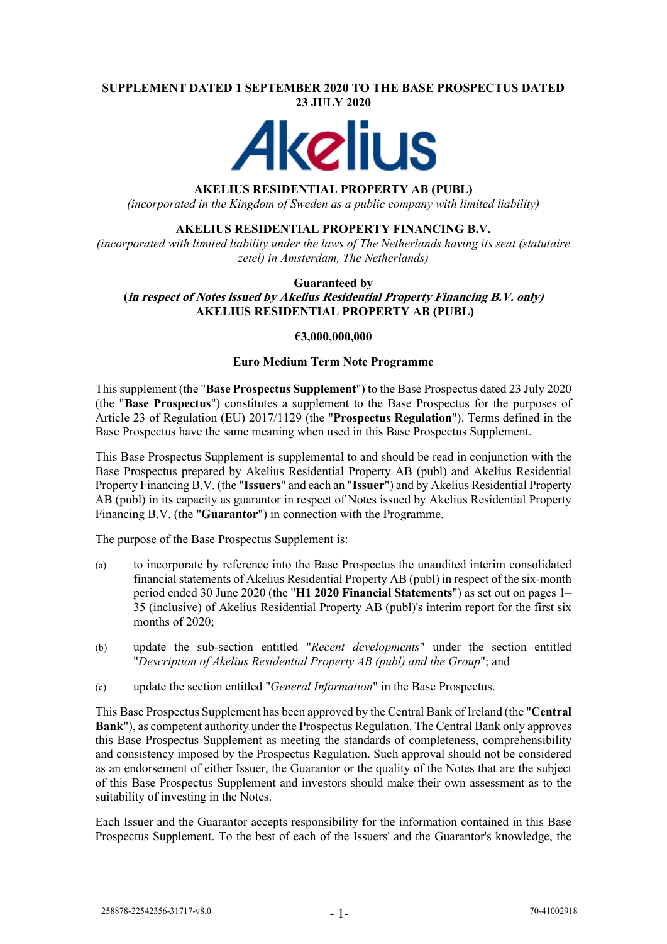#### **SUPPLEMENT DATED 1 SEPTEMBER 2020 TO THE BASE PROSPECTUS DATED 23 JULY 2020**



### **AKELIUS RESIDENTIAL PROPERTY AB (PUBL)**

*(incorporated in the Kingdom of Sweden as a public company with limited liability)*

# **AKELIUS RESIDENTIAL PROPERTY FINANCING B.V.**

*(incorporated with limited liability under the laws of The Netherlands having its seat (statutaire zetel) in Amsterdam, The Netherlands)*

#### **Guaranteed by (in respect of Notes issued by Akelius Residential Property Financing B.V. only) AKELIUS RESIDENTIAL PROPERTY AB (PUBL)**

# **€3,000,000,000**

### **Euro Medium Term Note Programme**

This supplement (the "**Base Prospectus Supplement**") to the Base Prospectus dated 23 July 2020 (the "**Base Prospectus**") constitutes a supplement to the Base Prospectus for the purposes of Article 23 of Regulation (EU) 2017/1129 (the "**Prospectus Regulation**"). Terms defined in the Base Prospectus have the same meaning when used in this Base Prospectus Supplement.

This Base Prospectus Supplement is supplemental to and should be read in conjunction with the Base Prospectus prepared by Akelius Residential Property AB (publ) and Akelius Residential Property Financing B.V. (the "**Issuers**" and each an "**Issuer**") and by Akelius Residential Property AB (publ) in its capacity as guarantor in respect of Notes issued by Akelius Residential Property Financing B.V. (the "**Guarantor**") in connection with the Programme.

The purpose of the Base Prospectus Supplement is:

- (a) to incorporate by reference into the Base Prospectus the unaudited interim consolidated financial statements of Akelius Residential Property AB (publ) in respect of the six-month period ended 30 June 2020 (the "**H1 2020 Financial Statements**") as set out on pages 1– 35 (inclusive) of Akelius Residential Property AB (publ)'s interim report for the first six months of 2020:
- (b) update the sub-section entitled "*Recent developments*" under the section entitled "*Description of Akelius Residential Property AB (publ) and the Group*"; and
- (c) update the section entitled "*General Information*" in the Base Prospectus.

This Base Prospectus Supplement has been approved by the Central Bank of Ireland (the "**Central Bank**"), as competent authority under the Prospectus Regulation. The Central Bank only approves this Base Prospectus Supplement as meeting the standards of completeness, comprehensibility and consistency imposed by the Prospectus Regulation. Such approval should not be considered as an endorsement of either Issuer, the Guarantor or the quality of the Notes that are the subject of this Base Prospectus Supplement and investors should make their own assessment as to the suitability of investing in the Notes.

Each Issuer and the Guarantor accepts responsibility for the information contained in this Base Prospectus Supplement. To the best of each of the Issuers' and the Guarantor's knowledge, the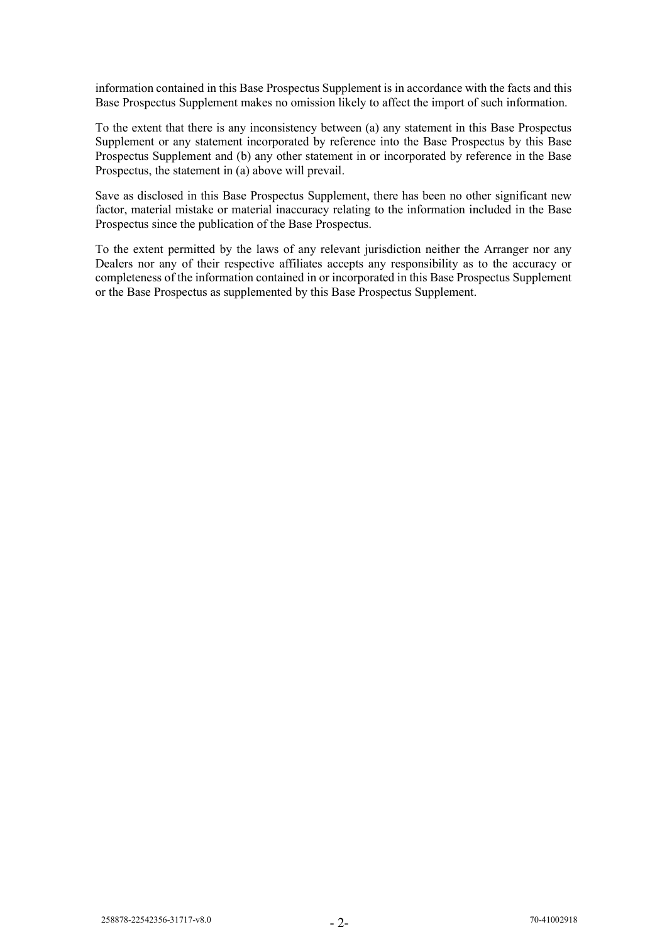information contained in this Base Prospectus Supplement is in accordance with the facts and this Base Prospectus Supplement makes no omission likely to affect the import of such information.

To the extent that there is any inconsistency between (a) any statement in this Base Prospectus Supplement or any statement incorporated by reference into the Base Prospectus by this Base Prospectus Supplement and (b) any other statement in or incorporated by reference in the Base Prospectus, the statement in (a) above will prevail.

Save as disclosed in this Base Prospectus Supplement, there has been no other significant new factor, material mistake or material inaccuracy relating to the information included in the Base Prospectus since the publication of the Base Prospectus.

To the extent permitted by the laws of any relevant jurisdiction neither the Arranger nor any Dealers nor any of their respective affiliates accepts any responsibility as to the accuracy or completeness of the information contained in or incorporated in this Base Prospectus Supplement or the Base Prospectus as supplemented by this Base Prospectus Supplement.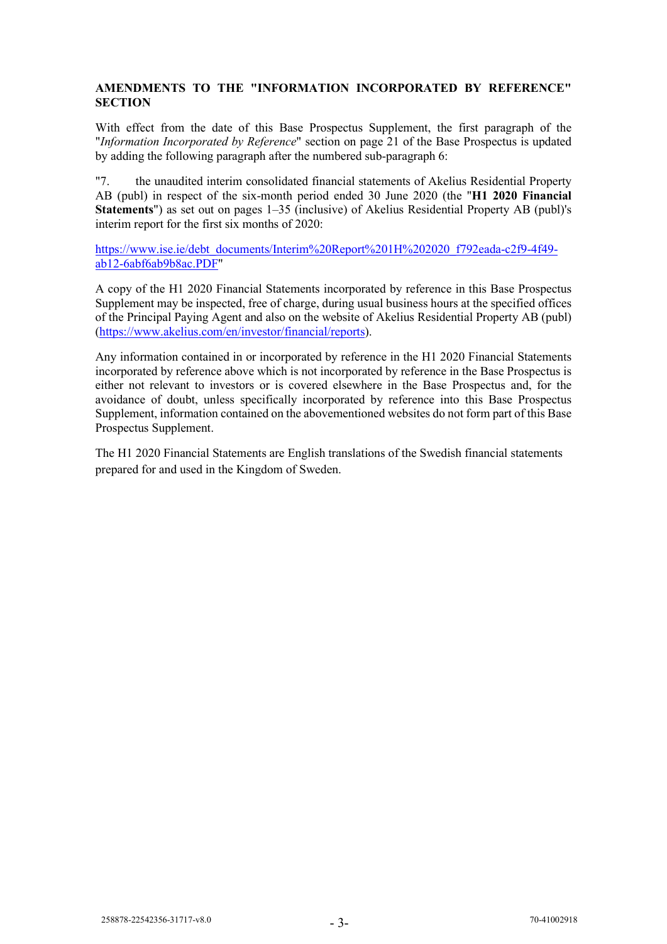# **AMENDMENTS TO THE "INFORMATION INCORPORATED BY REFERENCE" SECTION**

With effect from the date of this Base Prospectus Supplement, the first paragraph of the "*Information Incorporated by Reference*" section on page 21 of the Base Prospectus is updated by adding the following paragraph after the numbered sub-paragraph 6:

"7. the unaudited interim consolidated financial statements of Akelius Residential Property AB (publ) in respect of the six-month period ended 30 June 2020 (the "**H1 2020 Financial Statements**") as set out on pages 1–35 (inclusive) of Akelius Residential Property AB (publ)'s interim report for the first six months of 2020:

[https://www.ise.ie/debt\\_documents/Interim%20Report%201H%202020\\_f792eada-c2f9-4f49](https://www.ise.ie/debt_documents/Interim%20Report%201H%202020_f792eada-c2f9-4f49-ab12-6abf6ab9b8ac.PDF) [ab12-6abf6ab9b8ac.PDF"](https://www.ise.ie/debt_documents/Interim%20Report%201H%202020_f792eada-c2f9-4f49-ab12-6abf6ab9b8ac.PDF)

A copy of the H1 2020 Financial Statements incorporated by reference in this Base Prospectus Supplement may be inspected, free of charge, during usual business hours at the specified offices of the Principal Paying Agent and also on the website of Akelius Residential Property AB (publ) [\(https://www.akelius.com/en/investor/financial/reports\)](https://www.akelius.com/en/investor/financial/reports).

Any information contained in or incorporated by reference in the H1 2020 Financial Statements incorporated by reference above which is not incorporated by reference in the Base Prospectus is either not relevant to investors or is covered elsewhere in the Base Prospectus and, for the avoidance of doubt, unless specifically incorporated by reference into this Base Prospectus Supplement, information contained on the abovementioned websites do not form part of this Base Prospectus Supplement.

The H1 2020 Financial Statements are English translations of the Swedish financial statements prepared for and used in the Kingdom of Sweden.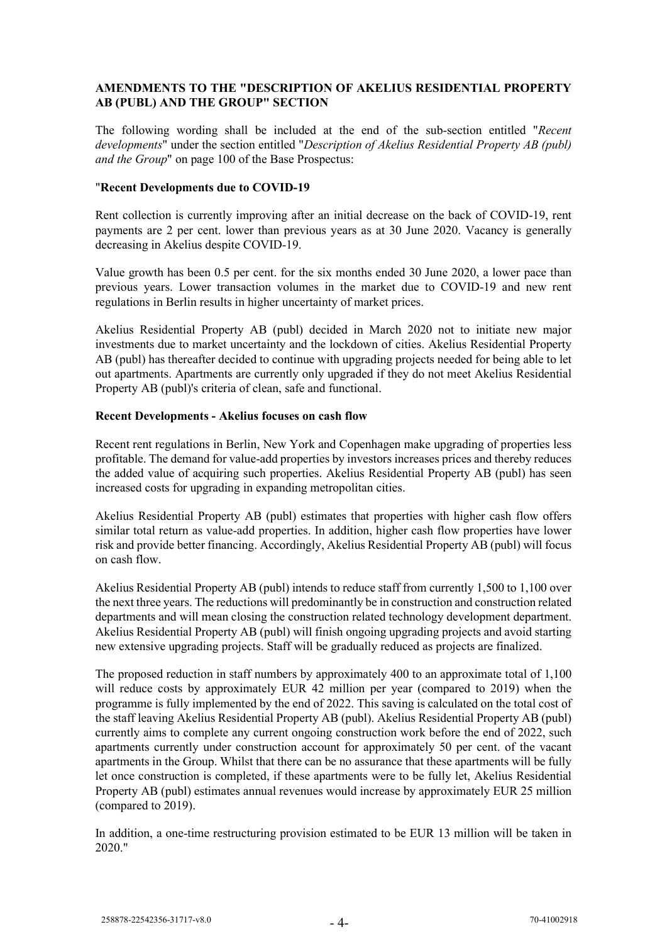# **AMENDMENTS TO THE "DESCRIPTION OF AKELIUS RESIDENTIAL PROPERTY AB (PUBL) AND THE GROUP" SECTION**

The following wording shall be included at the end of the sub-section entitled "*Recent developments*" under the section entitled "*Description of Akelius Residential Property AB (publ) and the Group*" on page 100 of the Base Prospectus:

### "**Recent Developments due to COVID-19**

Rent collection is currently improving after an initial decrease on the back of COVID-19, rent payments are 2 per cent. lower than previous years as at 30 June 2020. Vacancy is generally decreasing in Akelius despite COVID-19.

Value growth has been 0.5 per cent. for the six months ended 30 June 2020, a lower pace than previous years. Lower transaction volumes in the market due to COVID-19 and new rent regulations in Berlin results in higher uncertainty of market prices.

Akelius Residential Property AB (publ) decided in March 2020 not to initiate new major investments due to market uncertainty and the lockdown of cities. Akelius Residential Property AB (publ) has thereafter decided to continue with upgrading projects needed for being able to let out apartments. Apartments are currently only upgraded if they do not meet Akelius Residential Property AB (publ)'s criteria of clean, safe and functional.

### **Recent Developments - Akelius focuses on cash flow**

Recent rent regulations in Berlin, New York and Copenhagen make upgrading of properties less profitable. The demand for value-add properties by investors increases prices and thereby reduces the added value of acquiring such properties. Akelius Residential Property AB (publ) has seen increased costs for upgrading in expanding metropolitan cities.

Akelius Residential Property AB (publ) estimates that properties with higher cash flow offers similar total return as value-add properties. In addition, higher cash flow properties have lower risk and provide better financing. Accordingly, Akelius Residential Property AB (publ) will focus on cash flow.

Akelius Residential Property AB (publ) intends to reduce staff from currently 1,500 to 1,100 over the next three years. The reductions will predominantly be in construction and construction related departments and will mean closing the construction related technology development department. Akelius Residential Property AB (publ) will finish ongoing upgrading projects and avoid starting new extensive upgrading projects. Staff will be gradually reduced as projects are finalized.

The proposed reduction in staff numbers by approximately 400 to an approximate total of 1,100 will reduce costs by approximately EUR 42 million per year (compared to 2019) when the programme is fully implemented by the end of 2022. This saving is calculated on the total cost of the staff leaving Akelius Residential Property AB (publ). Akelius Residential Property AB (publ) currently aims to complete any current ongoing construction work before the end of 2022, such apartments currently under construction account for approximately 50 per cent. of the vacant apartments in the Group. Whilst that there can be no assurance that these apartments will be fully let once construction is completed, if these apartments were to be fully let, Akelius Residential Property AB (publ) estimates annual revenues would increase by approximately EUR 25 million (compared to 2019).

In addition, a one-time restructuring provision estimated to be EUR 13 million will be taken in 2020."